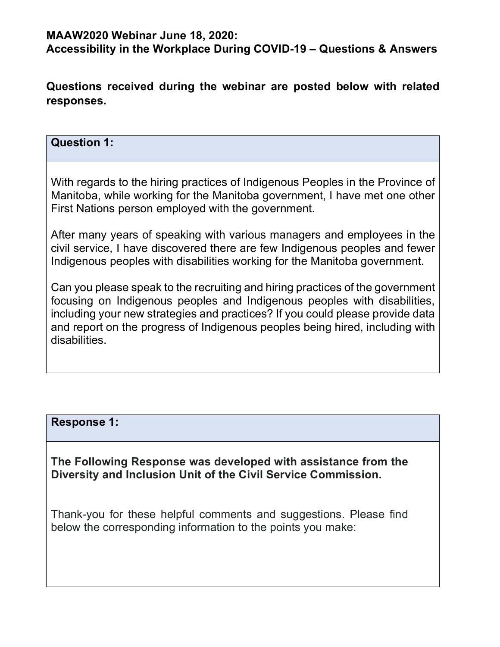## **MAAW2020 Webinar June 18, 2020:**

**Accessibility in the Workplace During COVID-19 – Questions & Answers**

**Questions received during the webinar are posted below with related responses.** 

## **Question 1:**

With regards to the hiring practices of Indigenous Peoples in the Province of Manitoba, while working for the Manitoba government, I have met one other First Nations person employed with the government.

After many years of speaking with various managers and employees in the civil service, I have discovered there are few Indigenous peoples and fewer Indigenous peoples with disabilities working for the Manitoba government.

Can you please speak to the recruiting and hiring practices of the government focusing on Indigenous peoples and Indigenous peoples with disabilities, including your new strategies and practices? If you could please provide data and report on the progress of Indigenous peoples being hired, including with disabilities.

### **Response 1:**

**The Following Response was developed with assistance from the Diversity and Inclusion Unit of the Civil Service Commission.** 

Thank-you for these helpful comments and suggestions. Please find below the corresponding information to the points you make: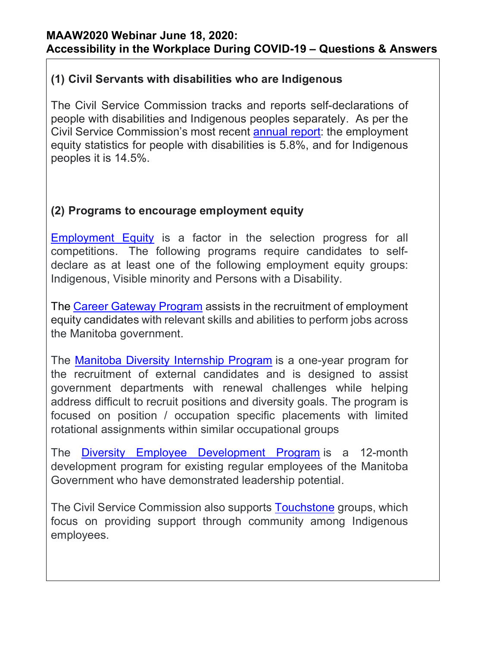# **(1) Civil Servants with disabilities who are Indigenous**

The Civil Service Commission tracks and reports self-declarations of people with disabilities and Indigenous peoples separately. As per the Civil Service Commission's most recent [annual report:](https://www.gov.mb.ca/csc/publications/annrpt/pdf/2018-19_annualrpt_en-fr.pdf) the employment equity statistics for people with disabilities is 5.8%, and for Indigenous peoples it is 14.5%.

# **(2) Programs to encourage employment equity**

[Employment Equity](https://www.manitoba.ca/csc/policyman/equity.html) is a factor in the selection progress for all competitions. The following programs require candidates to selfdeclare as at least one of the following employment equity groups: Indigenous, Visible minority and Persons with a Disability.

The [Career Gateway Program](http://www.manitoba.ca/govjobs/info/programs.html) assists in the recruitment of employment equity candidates with relevant skills and abilities to perform jobs across the Manitoba government.

The Manitoba Diversity [Internship](https://www.gov.mb.ca/govjobs/info/programs.html#MDIP) Program is a one-year program for the recruitment of external candidates and is designed to assist government departments with renewal challenges while helping address difficult to recruit positions and diversity goals. The program is focused on position / occupation specific placements with limited rotational assignments within similar occupational groups

The Diversity Employee [Development](https://www.gov.mb.ca/govjobs/info/programs.html#DEDP) Program is a 12-month development program for existing regular employees of the Manitoba Government who have demonstrated leadership potential.

The Civil Service Commission also supports [Touchstone](https://www.gov.mb.ca/govjobs/government/networks.html#Touchstone) groups, which focus on providing support through community among Indigenous employees.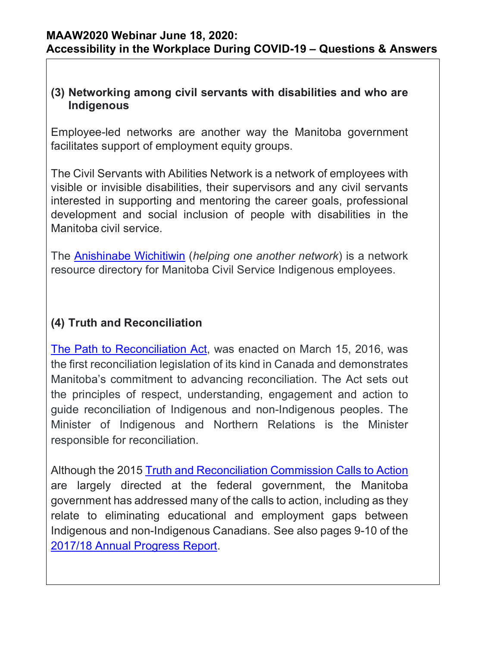# **(3) Networking among civil servants with disabilities and who are Indigenous**

Employee-led networks are another way the Manitoba government facilitates support of employment equity groups.

The Civil Servants with Abilities Network is a network of employees with visible or invisible disabilities, their supervisors and any civil servants interested in supporting and mentoring the career goals, professional development and social inclusion of people with disabilities in the Manitoba civil service.

The [Anishinabe Wichitiwin](https://www.gov.mb.ca/govjobs/government/networks.html) (*helping one another network*) is a network resource directory for Manitoba Civil Service Indigenous employees.

# **(4) Truth and Reconciliation**

[The Path to Reconciliation Act,](https://www.gov.mb.ca/inr/reports-and-expenses/pubs/ptr-act-annual-progress-report-2017-2018-english.pdf) was enacted on March 15, 2016, was the first reconciliation legislation of its kind in Canada and demonstrates Manitoba's commitment to advancing reconciliation. The Act sets out the principles of respect, understanding, engagement and action to guide reconciliation of Indigenous and non-Indigenous peoples. The Minister of Indigenous and Northern Relations is the Minister responsible for reconciliation.

Although the 2015 [Truth and Reconciliation Commission Calls to Action](https://www.bing.com/search?q=calls+to+action+truth+and+reconciliation&src=IE-SearchBox&FORM=IESR4A) are largely directed at the federal government, the Manitoba government has addressed many of the calls to action, including as they relate to eliminating educational and employment gaps between Indigenous and non-Indigenous Canadians. See also pages 9-10 of the [2017/18 Annual Progress Report.](https://www.gov.mb.ca/inr/reports-and-expenses/pubs/ptr-act-annual-progress-report-2017-2018-english.pdf)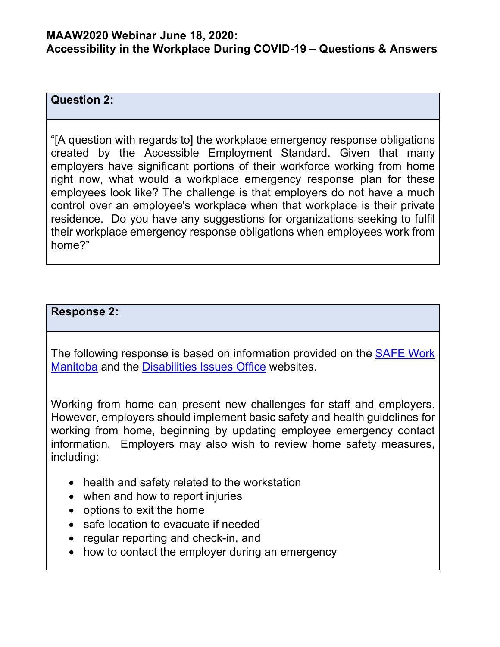## **MAAW2020 Webinar June 18, 2020: Accessibility in the Workplace During COVID-19 – Questions & Answers**

### **Question 2:**

"[A question with regards to] the workplace emergency response obligations created by the Accessible Employment Standard. Given that many employers have significant portions of their workforce working from home right now, what would a workplace emergency response plan for these employees look like? The challenge is that employers do not have a much control over an employee's workplace when that workplace is their private residence. Do you have any suggestions for organizations seeking to fulfil their workplace emergency response obligations when employees work from home?"

### **Response 2:**

The following response is based on information provided on the [SAFE Work](https://www.safemanitoba.com/)  [Manitoba](https://www.safemanitoba.com/) and the [Disabilities Issues Office](http://accessibilitymb.ca/) websites.

Working from home can present new challenges for staff and employers. However, employers should implement basic safety and health guidelines for working from home, beginning by updating employee emergency contact information. Employers may also wish to review home safety measures, including:

- health and safety related to the workstation
- when and how to report injuries
- options to exit the home
- safe location to evacuate if needed
- regular reporting and check-in, and
- how to contact the employer during an emergency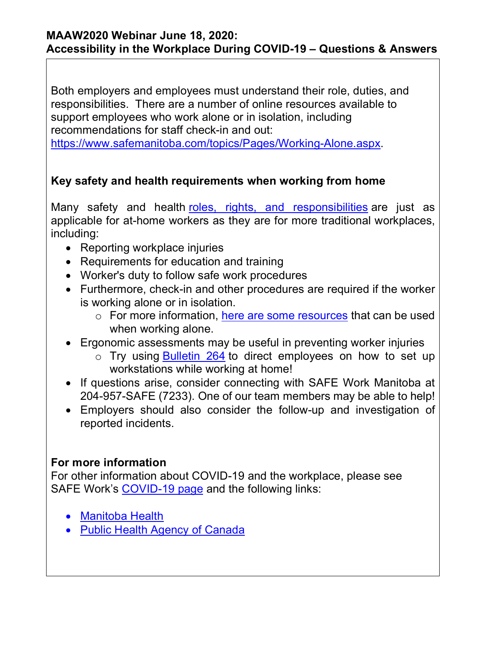## **MAAW2020 Webinar June 18, 2020: Accessibility in the Workplace During COVID-19 – Questions & Answers**

Both employers and employees must understand their role, duties, and responsibilities. There are a number of online resources available to support employees who work alone or in isolation, including recommendations for staff check-in and out:

[https://www.safemanitoba.com/topics/Pages/Working-Alone.aspx.](https://www.safemanitoba.com/topics/Pages/Working-Alone.aspx)

# **Key safety and health requirements when working from home**

Many safety and health [roles, rights, and responsibilities](https://www.safemanitoba.com/Resources/Pages/bulletin-231.aspx) are just as applicable for at-home workers as they are for more traditional workplaces, including:

- Reporting workplace injuries
- Requirements for education and training
- Worker's duty to follow safe work procedures
- Furthermore, check-in and other procedures are required if the worker is working alone or in isolation.
	- o For more information, [here are some resources](https://www.safemanitoba.com/topics/Pages/Working-Alone.aspx) that can be used when working alone.
- Ergonomic assessments may be useful in preventing worker injuries
	- o Try using [Bulletin 264](https://www.safemanitoba.com/Resources/Pages/bulletin-264.aspx) to direct employees on how to set up workstations while working at home!
- If questions arise, consider connecting with SAFE Work Manitoba at 204-957-SAFE (7233). One of our team members may be able to help!
- Employers should also consider the follow-up and investigation of reported incidents.

# **For more information**

For other information about COVID-19 and the workplace, please see SAFE Work's [COVID-19 page](https://www.safemanitoba.com/COVID-19/Pages/default.aspx) and the following links:

- [Manitoba Health](https://www.gov.mb.ca/covid19/index.html)
- [Public Health Agency of Canada](https://www.canada.ca/en/public-health/services/diseases/coronavirus-disease-covid-19.html)